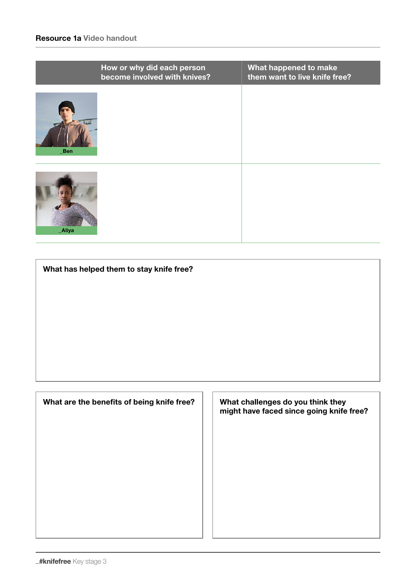|        | How or why did each person<br>become involved with knives? | What happened to make<br>them want to live knife free? |
|--------|------------------------------------------------------------|--------------------------------------------------------|
| Ben    |                                                            |                                                        |
| _Aliya |                                                            |                                                        |

| What has helped them to stay knife free?   |                                                                               |
|--------------------------------------------|-------------------------------------------------------------------------------|
|                                            |                                                                               |
|                                            |                                                                               |
|                                            |                                                                               |
| What are the benefits of being knife free? | What challenges do you think they<br>might have faced since going knife free? |
|                                            |                                                                               |
|                                            |                                                                               |
|                                            |                                                                               |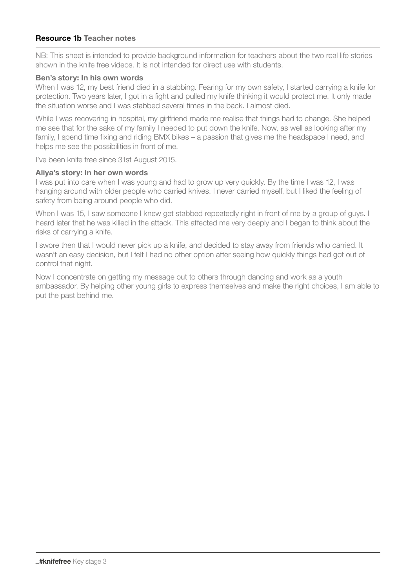## Resource 1b Teacher notes

NB: This sheet is intended to provide background information for teachers about the two real life stories shown in the knife free videos. It is not intended for direct use with students.

## Ben's story: In his own words

When I was 12, my best friend died in a stabbing. Fearing for my own safety, I started carrying a knife for protection. Two years later, I got in a fight and pulled my knife thinking it would protect me. It only made the situation worse and I was stabbed several times in the back. I almost died.

While I was recovering in hospital, my girlfriend made me realise that things had to change. She helped me see that for the sake of my family I needed to put down the knife. Now, as well as looking after my family, I spend time fixing and riding BMX bikes – a passion that gives me the headspace I need, and helps me see the possibilities in front of me.

I've been knife free since 31st August 2015.

## Aliya's story: In her own words

I was put into care when I was young and had to grow up very quickly. By the time I was 12, I was hanging around with older people who carried knives. I never carried myself, but I liked the feeling of safety from being around people who did.

When I was 15, I saw someone I knew get stabbed repeatedly right in front of me by a group of guys. I heard later that he was killed in the attack. This affected me very deeply and I began to think about the risks of carrying a knife.

I swore then that I would never pick up a knife, and decided to stay away from friends who carried. It wasn't an easy decision, but I felt I had no other option after seeing how quickly things had got out of control that night.

Now I concentrate on getting my message out to others through dancing and work as a youth ambassador. By helping other young girls to express themselves and make the right choices, I am able to put the past behind me.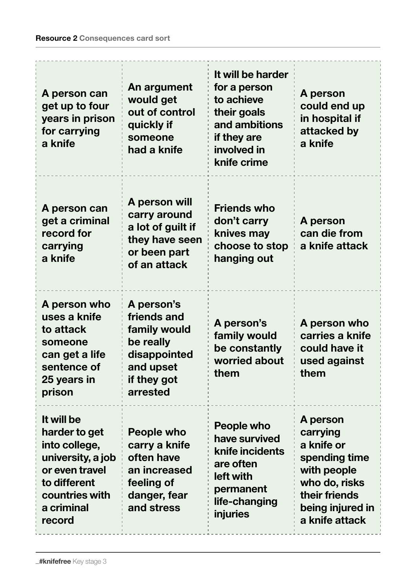| A person can<br>get up to four<br>years in prison<br>for carrying<br>a knife                                                                  | An argument<br>would get<br>out of control<br>quickly if<br>someone<br>had a knife                             | It will be harder<br>for a person<br>to achieve<br>their goals<br>and ambitions<br>if they are<br>involved in<br>knife crime | A person<br>could end up<br>in hospital if<br>attacked by<br>a knife                                                                       |
|-----------------------------------------------------------------------------------------------------------------------------------------------|----------------------------------------------------------------------------------------------------------------|------------------------------------------------------------------------------------------------------------------------------|--------------------------------------------------------------------------------------------------------------------------------------------|
| A person can<br>get a criminal<br>record for<br>carrying<br>a knife                                                                           | A person will<br>carry around<br>a lot of guilt if<br>they have seen<br>or been part<br>of an attack           | <b>Friends who</b><br>don't carry<br>knives may<br>choose to stop<br>hanging out                                             | A person<br>can die from<br>a knife attack                                                                                                 |
| A person who<br>uses a knife<br>to attack<br>someone<br>can get a life<br>sentence of<br>25 years in<br>prison                                | A person's<br>friends and<br>family would<br>be really<br>disappointed<br>and upset<br>if they got<br>arrested | A person's<br>family would<br>be constantly<br>worried about<br>them                                                         | A person who<br>carries a knife<br>could have it<br>used against<br>them                                                                   |
| It will be<br>harder to get<br>into college,<br>university, a job<br>or even travel<br>to different<br>countries with<br>a criminal<br>record | People who<br>carry a knife<br>often have<br>an increased<br>feeling of<br>danger, fear<br>and stress          | People who<br>have survived<br>knife incidents<br>are often<br>left with<br>permanent<br>life-changing<br>injuries           | A person<br>carrying<br>a knife or<br>spending time<br>with people<br>who do, risks<br>their friends<br>being injured in<br>a knife attack |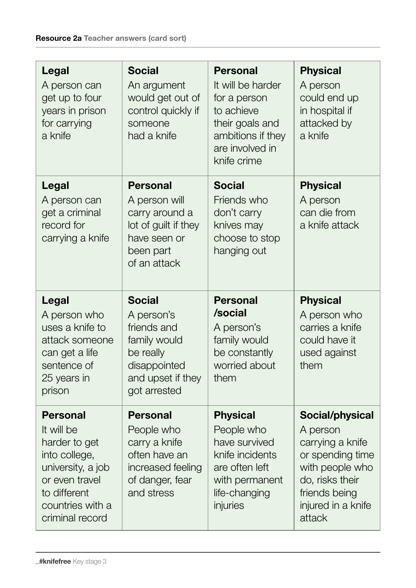| <b>Legal</b><br>A person can<br>get up to four<br>years in prison<br>for carrying<br>a knife | <b>Social</b><br>An argument<br>would get out of<br>control quickly if<br>someone<br>had a knife                        | <b>Personal</b><br>It will be harder<br>for a person<br>to achieve<br>their goals and<br>ambitions if they<br>are involved in<br>knife crime | <b>Physical</b><br>A person<br>could end up<br>in hospital if<br>attacked by<br>a knife |
|----------------------------------------------------------------------------------------------|-------------------------------------------------------------------------------------------------------------------------|----------------------------------------------------------------------------------------------------------------------------------------------|-----------------------------------------------------------------------------------------|
| <b>Legal</b><br>A person can<br>get a criminal<br>record for<br>carrying a knife             | <b>Personal</b><br>A person will<br>carry around a<br>lot of guilt if they<br>have seen or<br>been part<br>of an attack | <b>Social</b><br>Friends who<br>don't carry<br>knives may<br>choose to stop<br>hanging out                                                   | <b>Physical</b><br>A person<br>can die from<br>a knife attack                           |
| <b>Legal</b><br>A person who<br>uses a knife to                                              | <b>Social</b><br>A person's<br>friends and                                                                              | <b>Personal</b><br>/social<br>A person's                                                                                                     | <b>Physical</b><br>A person who<br>carries a knife                                      |
| attack someone<br>can get a life<br>sentence of<br>25 years in<br>prison                     | family would<br>be really<br>disappointed<br>and upset if they<br>got arrested                                          | family would<br>be constantly<br>worried about<br>them                                                                                       | could have it<br>used against<br>them                                                   |